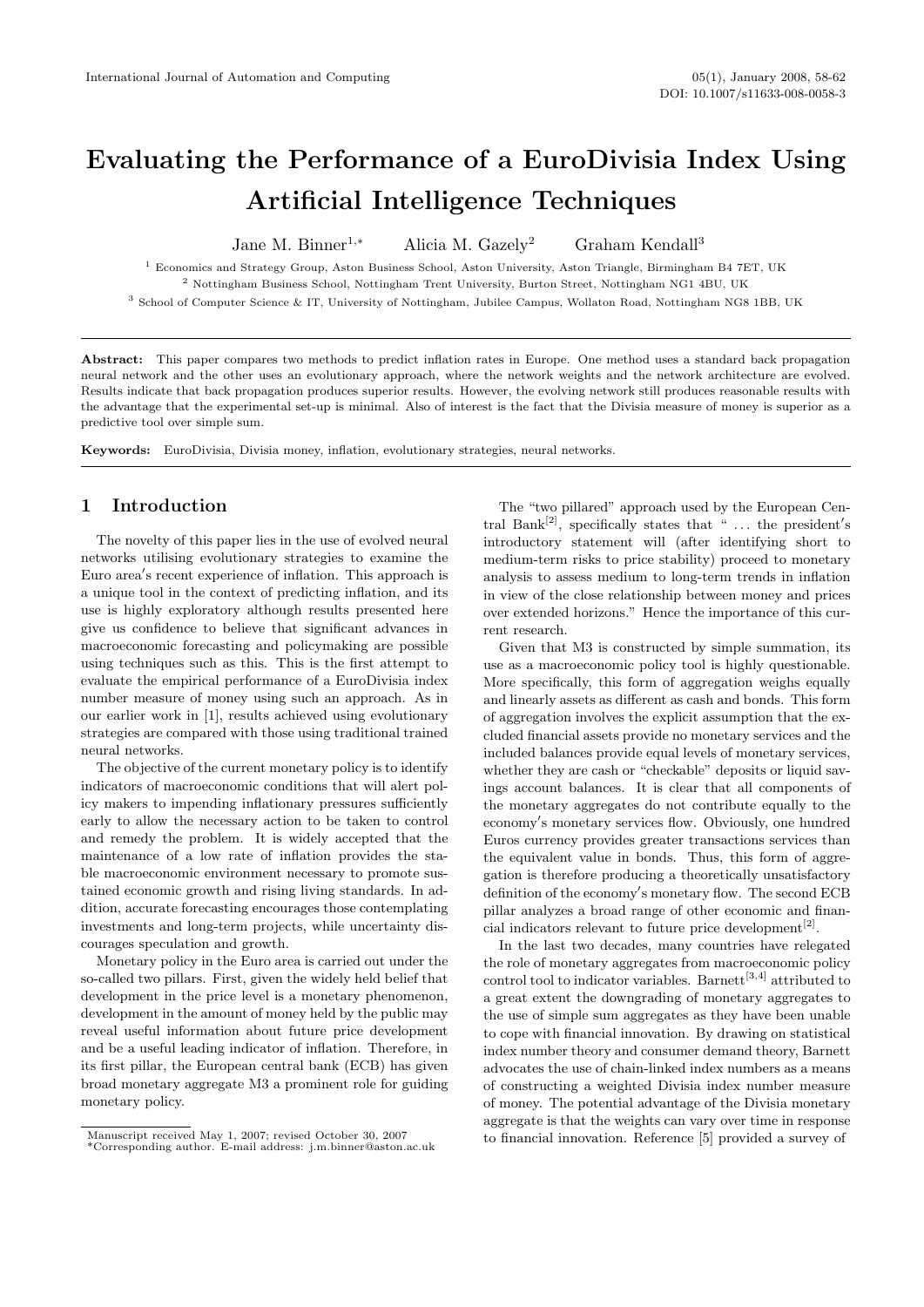# Evaluating the Performance of a EuroDivisia Index Using Artificial Intelligence Techniques

Jane M. Binner<sup>1,∗</sup> Alicia M. Gazely<sup>2</sup> Graham Kendall<sup>3</sup>

<sup>1</sup> Economics and Strategy Group, Aston Business School, Aston University, Aston Triangle, Birmingham B4 7ET, UK  $^2$  Nottingham Business School, Nottingham Trent University, Burton Street, Nottingham NG1 4BU, UK

<sup>3</sup> School of Computer Science & IT, University of Nottingham, Jubilee Campus, Wollaton Road, Nottingham NG8 1BB, UK

Abstract: This paper compares two methods to predict inflation rates in Europe. One method uses a standard back propagation neural network and the other uses an evolutionary approach, where the network weights and the network architecture are evolved. Results indicate that back propagation produces superior results. However, the evolving network still produces reasonable results with the advantage that the experimental set-up is minimal. Also of interest is the fact that the Divisia measure of money is superior as a predictive tool over simple sum.

Keywords: EuroDivisia, Divisia money, inflation, evolutionary strategies, neural networks.

## 1 Introduction

The novelty of this paper lies in the use of evolved neural networks utilising evolutionary strategies to examine the Euro area's recent experience of inflation. This approach is a unique tool in the context of predicting inflation, and its use is highly exploratory although results presented here give us confidence to believe that significant advances in macroeconomic forecasting and policymaking are possible using techniques such as this. This is the first attempt to evaluate the empirical performance of a EuroDivisia index number measure of money using such an approach. As in our earlier work in [1], results achieved using evolutionary strategies are compared with those using traditional trained neural networks.

The objective of the current monetary policy is to identify indicators of macroeconomic conditions that will alert policy makers to impending inflationary pressures sufficiently early to allow the necessary action to be taken to control and remedy the problem. It is widely accepted that the maintenance of a low rate of inflation provides the stable macroeconomic environment necessary to promote sustained economic growth and rising living standards. In addition, accurate forecasting encourages those contemplating investments and long-term projects, while uncertainty discourages speculation and growth.

Monetary policy in the Euro area is carried out under the so-called two pillars. First, given the widely held belief that development in the price level is a monetary phenomenon, development in the amount of money held by the public may reveal useful information about future price development and be a useful leading indicator of inflation. Therefore, in its first pillar, the European central bank (ECB) has given broad monetary aggregate M3 a prominent role for guiding monetary policy.

The "two pillared" approach used by the European Central Bank<sup>[2]</sup>, specifically states that " $\dots$  the president's introductory statement will (after identifying short to medium-term risks to price stability) proceed to monetary analysis to assess medium to long-term trends in inflation in view of the close relationship between money and prices over extended horizons." Hence the importance of this current research.

Given that M3 is constructed by simple summation, its use as a macroeconomic policy tool is highly questionable. More specifically, this form of aggregation weighs equally and linearly assets as different as cash and bonds. This form of aggregation involves the explicit assumption that the excluded financial assets provide no monetary services and the included balances provide equal levels of monetary services, whether they are cash or "checkable" deposits or liquid savings account balances. It is clear that all components of the monetary aggregates do not contribute equally to the economy's monetary services flow. Obviously, one hundred Euros currency provides greater transactions services than the equivalent value in bonds. Thus, this form of aggregation is therefore producing a theoretically unsatisfactory definition of the economy's monetary flow. The second ECB pillar analyzes a broad range of other economic and financial indicators relevant to future price development<sup>[2]</sup>.

In the last two decades, many countries have relegated the role of monetary aggregates from macroeconomic policy control tool to indicator variables. Barnett<sup>[3,4]</sup> attributed to a great extent the downgrading of monetary aggregates to the use of simple sum aggregates as they have been unable to cope with financial innovation. By drawing on statistical index number theory and consumer demand theory, Barnett advocates the use of chain-linked index numbers as a means of constructing a weighted Divisia index number measure of money. The potential advantage of the Divisia monetary aggregate is that the weights can vary over time in response to financial innovation. Reference [5] provided a survey of

Manuscript received May 1, 2007; revised October 30, 2007

<sup>\*</sup>Corresponding author. E-mail address: j.m.binner@aston.ac.uk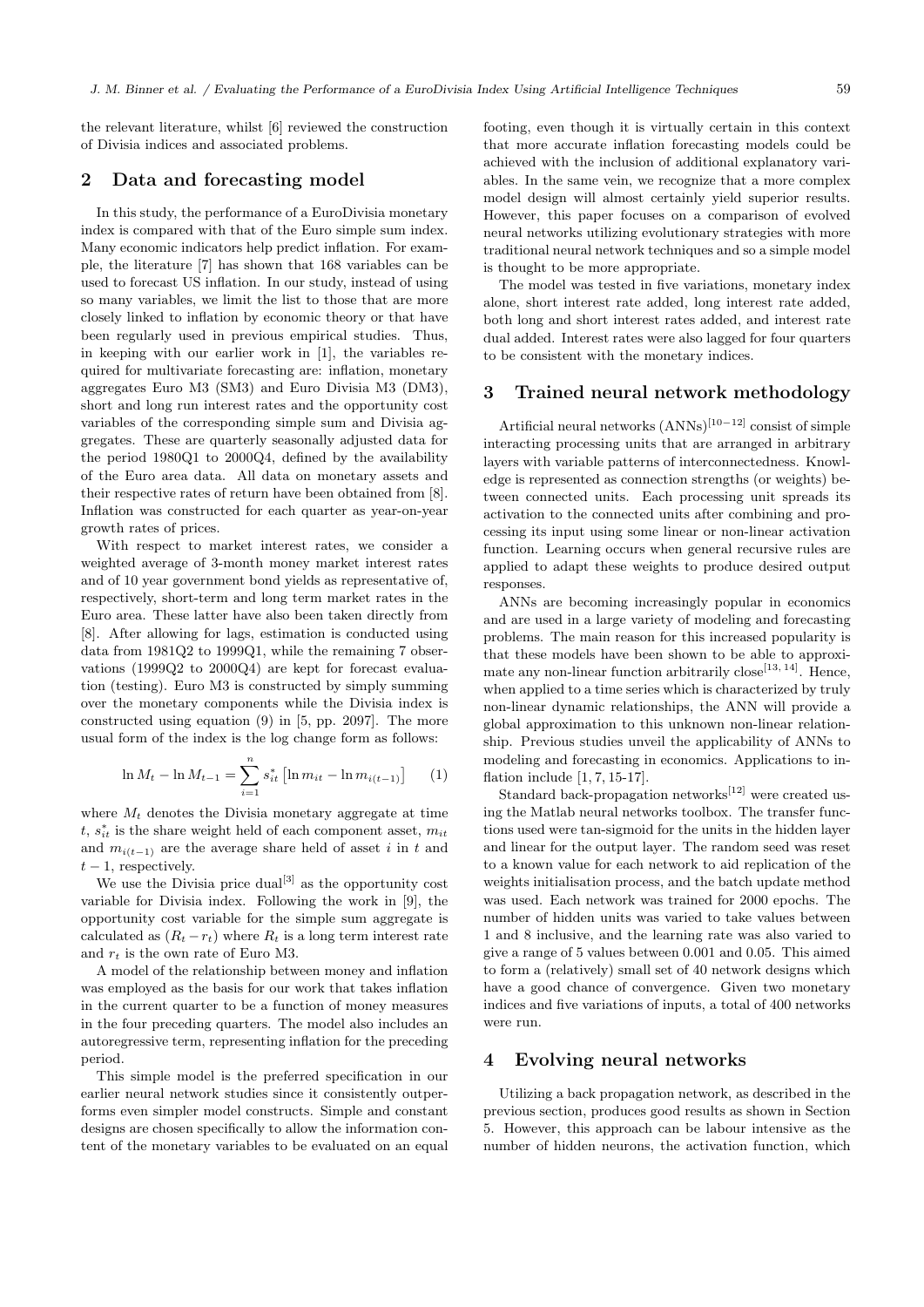the relevant literature, whilst [6] reviewed the construction of Divisia indices and associated problems.

#### 2 Data and forecasting model

In this study, the performance of a EuroDivisia monetary index is compared with that of the Euro simple sum index. Many economic indicators help predict inflation. For example, the literature [7] has shown that 168 variables can be used to forecast US inflation. In our study, instead of using so many variables, we limit the list to those that are more closely linked to inflation by economic theory or that have been regularly used in previous empirical studies. Thus, in keeping with our earlier work in [1], the variables required for multivariate forecasting are: inflation, monetary aggregates Euro M3 (SM3) and Euro Divisia M3 (DM3), short and long run interest rates and the opportunity cost variables of the corresponding simple sum and Divisia aggregates. These are quarterly seasonally adjusted data for the period 1980Q1 to 2000Q4, defined by the availability of the Euro area data. All data on monetary assets and their respective rates of return have been obtained from [8]. Inflation was constructed for each quarter as year-on-year growth rates of prices.

With respect to market interest rates, we consider a weighted average of 3-month money market interest rates and of 10 year government bond yields as representative of, respectively, short-term and long term market rates in the Euro area. These latter have also been taken directly from [8]. After allowing for lags, estimation is conducted using data from 1981Q2 to 1999Q1, while the remaining 7 observations (1999Q2 to 2000Q4) are kept for forecast evaluation (testing). Euro M3 is constructed by simply summing over the monetary components while the Divisia index is constructed using equation (9) in [5, pp. 2097]. The more usual form of the index is the log change form as follows:

$$
\ln M_t - \ln M_{t-1} = \sum_{i=1}^n s_{it}^* \left[ \ln m_{it} - \ln m_{i(t-1)} \right] \tag{1}
$$

where  $M_t$  denotes the Divisia monetary aggregate at time  $t, s_{it}^*$  is the share weight held of each component asset,  $m_{it}$ and  $m_{i(t-1)}$  are the average share held of asset i in t and  $t-1$ , respectively.

We use the Divisia price  $\mathrm{dual}^{[3]}$  as the opportunity cost variable for Divisia index. Following the work in [9], the opportunity cost variable for the simple sum aggregate is calculated as  $(R_t - r_t)$  where  $R_t$  is a long term interest rate and  $r_t$  is the own rate of Euro M3.

A model of the relationship between money and inflation was employed as the basis for our work that takes inflation in the current quarter to be a function of money measures in the four preceding quarters. The model also includes an autoregressive term, representing inflation for the preceding period.

This simple model is the preferred specification in our earlier neural network studies since it consistently outperforms even simpler model constructs. Simple and constant designs are chosen specifically to allow the information content of the monetary variables to be evaluated on an equal footing, even though it is virtually certain in this context that more accurate inflation forecasting models could be achieved with the inclusion of additional explanatory variables. In the same vein, we recognize that a more complex model design will almost certainly yield superior results. However, this paper focuses on a comparison of evolved neural networks utilizing evolutionary strategies with more traditional neural network techniques and so a simple model is thought to be more appropriate.

The model was tested in five variations, monetary index alone, short interest rate added, long interest rate added, both long and short interest rates added, and interest rate dual added. Interest rates were also lagged for four quarters to be consistent with the monetary indices.

#### 3 Trained neural network methodology

Artificial neural networks (ANNs)[10−12] consist of simple interacting processing units that are arranged in arbitrary layers with variable patterns of interconnectedness. Knowledge is represented as connection strengths (or weights) between connected units. Each processing unit spreads its activation to the connected units after combining and processing its input using some linear or non-linear activation function. Learning occurs when general recursive rules are applied to adapt these weights to produce desired output responses.

ANNs are becoming increasingly popular in economics and are used in a large variety of modeling and forecasting problems. The main reason for this increased popularity is that these models have been shown to be able to approximate any non-linear function arbitrarily close<sup>[13, 14]</sup>. Hence, when applied to a time series which is characterized by truly non-linear dynamic relationships, the ANN will provide a global approximation to this unknown non-linear relationship. Previous studies unveil the applicability of ANNs to modeling and forecasting in economics. Applications to inflation include [1, 7, 15-17].

Standard back-propagation networks $[12]$  were created using the Matlab neural networks toolbox. The transfer functions used were tan-sigmoid for the units in the hidden layer and linear for the output layer. The random seed was reset to a known value for each network to aid replication of the weights initialisation process, and the batch update method was used. Each network was trained for 2000 epochs. The number of hidden units was varied to take values between 1 and 8 inclusive, and the learning rate was also varied to give a range of 5 values between 0.001 and 0.05. This aimed to form a (relatively) small set of 40 network designs which have a good chance of convergence. Given two monetary indices and five variations of inputs, a total of 400 networks were run.

## 4 Evolving neural networks

Utilizing a back propagation network, as described in the previous section, produces good results as shown in Section 5. However, this approach can be labour intensive as the number of hidden neurons, the activation function, which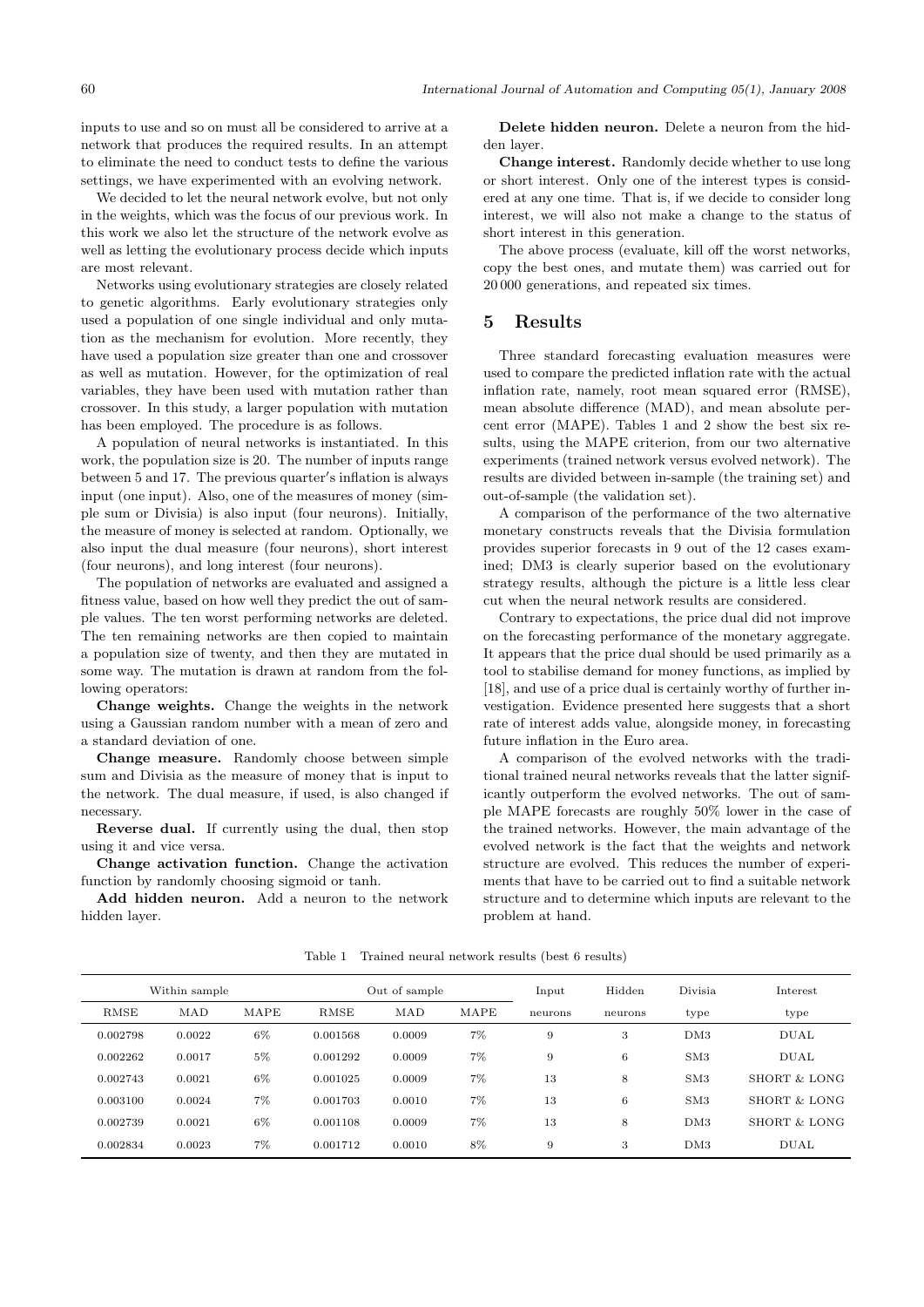inputs to use and so on must all be considered to arrive at a network that produces the required results. In an attempt to eliminate the need to conduct tests to define the various settings, we have experimented with an evolving network.

We decided to let the neural network evolve, but not only in the weights, which was the focus of our previous work. In this work we also let the structure of the network evolve as well as letting the evolutionary process decide which inputs are most relevant.

Networks using evolutionary strategies are closely related to genetic algorithms. Early evolutionary strategies only used a population of one single individual and only mutation as the mechanism for evolution. More recently, they have used a population size greater than one and crossover as well as mutation. However, for the optimization of real variables, they have been used with mutation rather than crossover. In this study, a larger population with mutation has been employed. The procedure is as follows.

A population of neural networks is instantiated. In this work, the population size is 20. The number of inputs range between 5 and 17. The previous quarter's inflation is always input (one input). Also, one of the measures of money (simple sum or Divisia) is also input (four neurons). Initially, the measure of money is selected at random. Optionally, we also input the dual measure (four neurons), short interest (four neurons), and long interest (four neurons).

The population of networks are evaluated and assigned a fitness value, based on how well they predict the out of sample values. The ten worst performing networks are deleted. The ten remaining networks are then copied to maintain a population size of twenty, and then they are mutated in some way. The mutation is drawn at random from the following operators:

Change weights. Change the weights in the network using a Gaussian random number with a mean of zero and a standard deviation of one.

Change measure. Randomly choose between simple sum and Divisia as the measure of money that is input to the network. The dual measure, if used, is also changed if necessary.

Reverse dual. If currently using the dual, then stop using it and vice versa.

Change activation function. Change the activation function by randomly choosing sigmoid or tanh.

Add hidden neuron. Add a neuron to the network hidden layer.

Delete hidden neuron. Delete a neuron from the hidden layer.

Change interest. Randomly decide whether to use long or short interest. Only one of the interest types is considered at any one time. That is, if we decide to consider long interest, we will also not make a change to the status of short interest in this generation.

The above process (evaluate, kill off the worst networks, copy the best ones, and mutate them) was carried out for 20 000 generations, and repeated six times.

#### 5 Results

Three standard forecasting evaluation measures were used to compare the predicted inflation rate with the actual inflation rate, namely, root mean squared error (RMSE), mean absolute difference (MAD), and mean absolute percent error (MAPE). Tables 1 and 2 show the best six results, using the MAPE criterion, from our two alternative experiments (trained network versus evolved network). The results are divided between in-sample (the training set) and out-of-sample (the validation set).

A comparison of the performance of the two alternative monetary constructs reveals that the Divisia formulation provides superior forecasts in 9 out of the 12 cases examined; DM3 is clearly superior based on the evolutionary strategy results, although the picture is a little less clear cut when the neural network results are considered.

Contrary to expectations, the price dual did not improve on the forecasting performance of the monetary aggregate. It appears that the price dual should be used primarily as a tool to stabilise demand for money functions, as implied by [18], and use of a price dual is certainly worthy of further investigation. Evidence presented here suggests that a short rate of interest adds value, alongside money, in forecasting future inflation in the Euro area.

A comparison of the evolved networks with the traditional trained neural networks reveals that the latter significantly outperform the evolved networks. The out of sample MAPE forecasts are roughly 50% lower in the case of the trained networks. However, the main advantage of the evolved network is the fact that the weights and network structure are evolved. This reduces the number of experiments that have to be carried out to find a suitable network structure and to determine which inputs are relevant to the problem at hand.

|          | Within sample |       | Out of sample |        |       | Input   | Hidden  | Divisia         | Interest     |
|----------|---------------|-------|---------------|--------|-------|---------|---------|-----------------|--------------|
| RMSE     | MAD           | MAPE  | <b>RMSE</b>   | MAD    | MAPE  | neurons | neurons | type            | type         |
| 0.002798 | 0.0022        | 6%    | 0.001568      | 0.0009 | 7%    | 9       | 3       | DM3             | <b>DUAL</b>  |
| 0.002262 | 0.0017        | $5\%$ | 0.001292      | 0.0009 | 7%    | 9       | 6       | SM3             | <b>DUAL</b>  |
| 0.002743 | 0.0021        | 6%    | 0.001025      | 0.0009 | 7%    | 13      | 8       | SM <sub>3</sub> | SHORT & LONG |
| 0.003100 | 0.0024        | 7%    | 0.001703      | 0.0010 | $7\%$ | 13      | 6       | SM3             | SHORT & LONG |
| 0.002739 | 0.0021        | 6%    | 0.001108      | 0.0009 | 7%    | 13      | 8       | DM3             | SHORT & LONG |
| 0.002834 | 0.0023        | 7%    | 0.001712      | 0.0010 | 8%    | 9       | 3       | DM3             | <b>DUAL</b>  |

Table 1 Trained neural network results (best 6 results)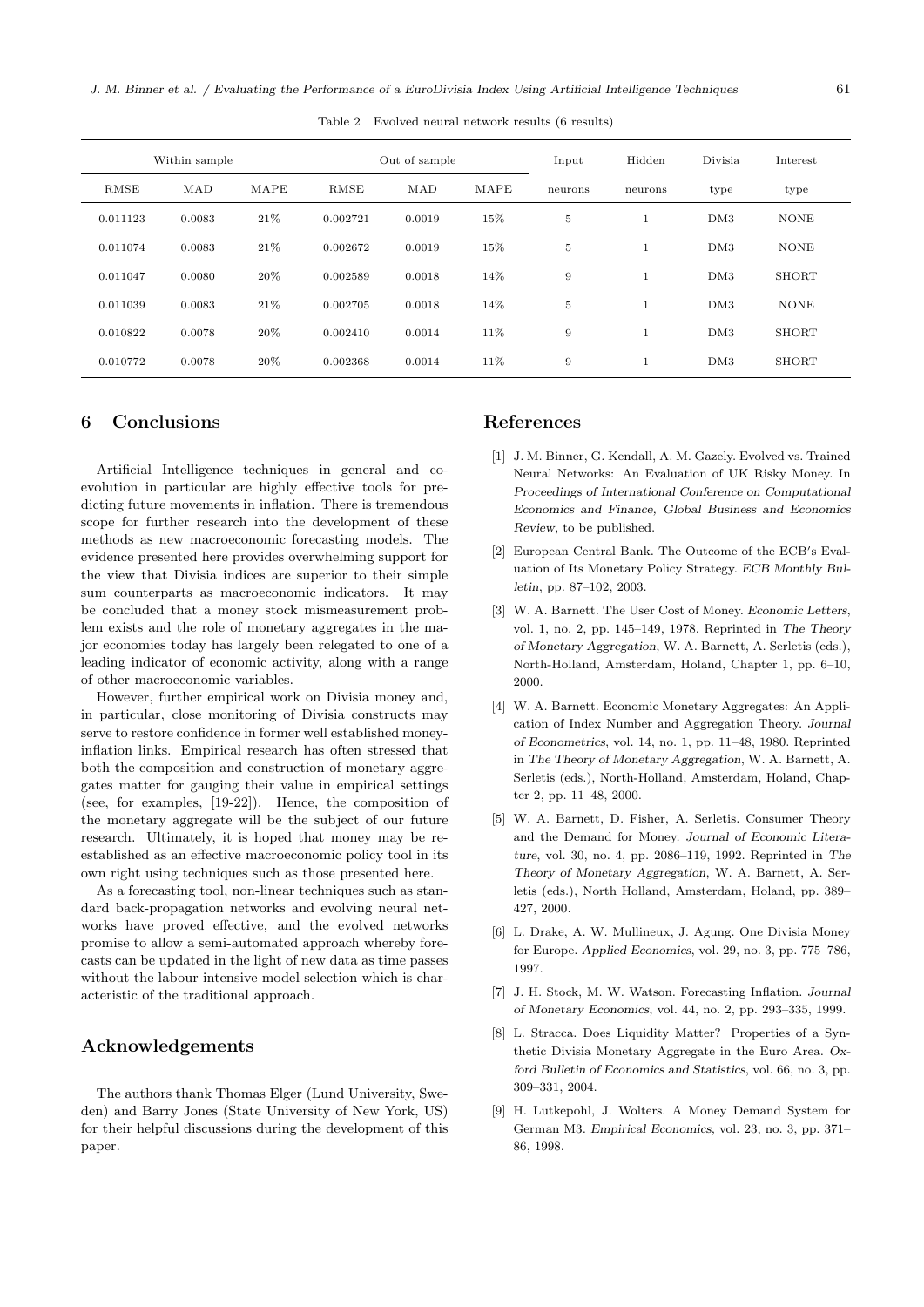Table 2 Evolved neural network results (6 results)

|          | Within sample |      | Out of sample |        |      | Input   | Hidden  | Divisia         | Interest     |
|----------|---------------|------|---------------|--------|------|---------|---------|-----------------|--------------|
| RMSE     | MAD           | MAPE | <b>RMSE</b>   | MAD    | MAPE | neurons | neurons | type            | type         |
| 0.011123 | 0.0083        | 21\% | 0.002721      | 0.0019 | 15%  | $\bf 5$ |         | DM3             | <b>NONE</b>  |
| 0.011074 | 0.0083        | 21\% | 0.002672      | 0.0019 | 15%  | $\bf 5$ |         | DM <sub>3</sub> | <b>NONE</b>  |
| 0.011047 | 0.0080        | 20%  | 0.002589      | 0.0018 | 14%  | 9       |         | DM <sub>3</sub> | <b>SHORT</b> |
| 0.011039 | 0.0083        | 21\% | 0.002705      | 0.0018 | 14%  | 5       |         | DM3             | <b>NONE</b>  |
| 0.010822 | 0.0078        | 20%  | 0.002410      | 0.0014 | 11%  | 9       |         | DM <sub>3</sub> | <b>SHORT</b> |
| 0.010772 | 0.0078        | 20%  | 0.002368      | 0.0014 | 11%  | 9       |         | DM3             | <b>SHORT</b> |

#### 6 Conclusions

Artificial Intelligence techniques in general and coevolution in particular are highly effective tools for predicting future movements in inflation. There is tremendous scope for further research into the development of these methods as new macroeconomic forecasting models. The evidence presented here provides overwhelming support for the view that Divisia indices are superior to their simple sum counterparts as macroeconomic indicators. It may be concluded that a money stock mismeasurement problem exists and the role of monetary aggregates in the major economies today has largely been relegated to one of a leading indicator of economic activity, along with a range of other macroeconomic variables.

However, further empirical work on Divisia money and, in particular, close monitoring of Divisia constructs may serve to restore confidence in former well established moneyinflation links. Empirical research has often stressed that both the composition and construction of monetary aggregates matter for gauging their value in empirical settings (see, for examples, [19-22]). Hence, the composition of the monetary aggregate will be the subject of our future research. Ultimately, it is hoped that money may be reestablished as an effective macroeconomic policy tool in its own right using techniques such as those presented here.

As a forecasting tool, non-linear techniques such as standard back-propagation networks and evolving neural networks have proved effective, and the evolved networks promise to allow a semi-automated approach whereby forecasts can be updated in the light of new data as time passes without the labour intensive model selection which is characteristic of the traditional approach.

## Acknowledgements

The authors thank Thomas Elger (Lund University, Sweden) and Barry Jones (State University of New York, US) for their helpful discussions during the development of this paper.

#### References

- [1] J. M. Binner, G. Kendall, A. M. Gazely. Evolved vs. Trained Neural Networks: An Evaluation of UK Risky Money. In Proceedings of International Conference on Computational Economics and Finance, Global Business and Economics Review, to be published.
- [2] European Central Bank. The Outcome of the ECB's Evaluation of Its Monetary Policy Strategy. ECB Monthly Bulletin, pp. 87–102, 2003.
- [3] W. A. Barnett. The User Cost of Money. Economic Letters, vol. 1, no. 2, pp. 145–149, 1978. Reprinted in The Theory of Monetary Aggregation, W. A. Barnett, A. Serletis (eds.), North-Holland, Amsterdam, Holand, Chapter 1, pp. 6–10, 2000.
- [4] W. A. Barnett. Economic Monetary Aggregates: An Application of Index Number and Aggregation Theory. Journal of Econometrics, vol. 14, no. 1, pp. 11–48, 1980. Reprinted in The Theory of Monetary Aggregation, W. A. Barnett, A. Serletis (eds.), North-Holland, Amsterdam, Holand, Chapter 2, pp. 11–48, 2000.
- [5] W. A. Barnett, D. Fisher, A. Serletis. Consumer Theory and the Demand for Money. Journal of Economic Literature, vol. 30, no. 4, pp. 2086–119, 1992. Reprinted in The Theory of Monetary Aggregation, W. A. Barnett, A. Serletis (eds.), North Holland, Amsterdam, Holand, pp. 389– 427, 2000.
- [6] L. Drake, A. W. Mullineux, J. Agung. One Divisia Money for Europe. Applied Economics, vol. 29, no. 3, pp. 775–786, 1997.
- [7] J. H. Stock, M. W. Watson. Forecasting Inflation. Journal of Monetary Economics, vol. 44, no. 2, pp. 293–335, 1999.
- [8] L. Stracca. Does Liquidity Matter? Properties of a Synthetic Divisia Monetary Aggregate in the Euro Area. Oxford Bulletin of Economics and Statistics, vol. 66, no. 3, pp. 309–331, 2004.
- [9] H. Lutkepohl, J. Wolters. A Money Demand System for German M3. Empirical Economics, vol. 23, no. 3, pp. 371– 86, 1998.